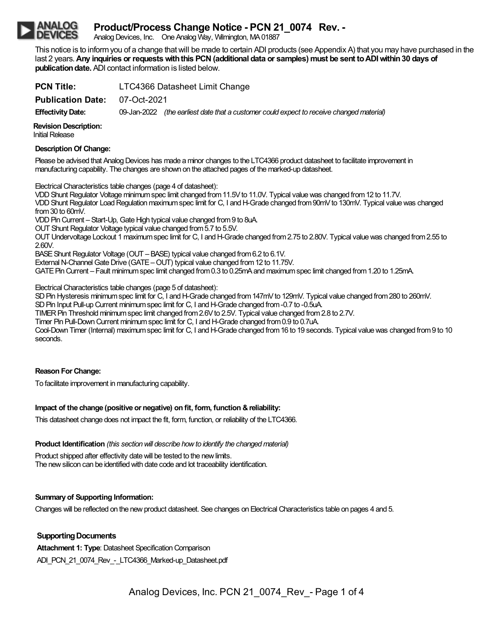# **Product/Process Change Notice - PCN 21\_0074 Rev. -**

Analog Devices, Inc. One Analog Way, Wilmington, MA01887

This notice is to informyou of a change thatwill be made to certain ADI products (see Appendix A) that you may have purchased in the last 2 years.**Any inquiries or requestswiththis PCN(additional data or samples) must be sent toADIwithin30 days of publication date.** ADI contact information is listed below.

**PCN Title:** LTC4366 Datasheet Limit Change **Publication Date:** 07-Oct-2021 **EffectivityDate:** 09-Jan-2022 *(the earliest date that a customer could expect to receive changed material)*

**Revision Description: Initial Release** 

### **Description Of Change:**

Please be advised that Analog Devices has made a minor changes to the LTC4366 product datasheet to facilitate improvement in manufacturing capability. The changes are shown on the attached pages of the marked-up datasheet.

Electrical Characteristics table changes (page 4 of datasheet):

VDDShunt Regulator Voltage minimumspec limit changed from11.5Vto 11.0V. Typical valuewas changed from12 to 11.7V. VDD Shunt Regulator Load Regulation maximum spec limit for C, I and H-Grade changed from 90mV to 130mV. Typical value was changed from30 to 60mV.

VDD Pin Current – Start-Up, Gate High typical value changed from 9 to 8uA.

OUT Shunt Regulator Voltage typical value changed from5.7 to 5.5V.

OUT Undervoltage Lockout 1 maximumspec limit for C, I andH-Grade changed from2.75 to 2.80V. Typical valuewas changed from2.55 to 2.60V.

BASE Shunt Regulator Voltage (OUT – BASE) typical value changed from 6.2 to 6.1V.

External N-Channel Gate Drive (GATE – OUT) typical value changed from 12 to 11.75V.

GATE Pin Current – Fault minimum spec limit changed from 0.3 to 0.25mA and maximum spec limit changed from 1.20 to 1.25mA.

Electrical Characteristics table changes (page 5 of datasheet):

SD Pin Hysteresis minimum spec limit for C, I and H-Grade changed from 147mV to 129mV. Typical value changed from 280 to 260mV.

SD Pin Input Pull-up Current minimum spec limit for C, I and H-Grade changed from -0.7 to -0.5uA.

TIMER Pin Threshold minimum spec limit changed from 2.6V to 2.5V. Typical value changed from 2.8 to 2.7V.

Timer Pin Pull-Down Current minimum spec limit for C, I and H-Grade changed from 0.9 to 0.7uA.

Cool-Down Timer (Internal) maximum spec limit for C, I and H-Grade changed from 16 to 19 seconds. Typical value was changed from 9 to 10 seconds.

## **Reason ForChange:**

To facilitate improvement in manufacturing capability.

## **Impact of the change (positive or negative) on fit, form, function &reliability:**

This datasheet change does not impact the fit, form, function, or reliability of the LTC4366.

**Product Identification** *(this section will describe how to identify the changed material)* 

Product shipped after effectivity date will be tested to the new limits. The new silicon can be identified with date code and lot traceability identification.

## **Summary of Supporting Information:**

Changes will be reflected on the new product datasheet. See changes on Electrical Characteristics table on pages 4 and 5.

## **Supporting Documents**

**Attachment 1: Type: Datasheet Specification Comparison** ADI\_PCN\_21\_0074\_Rev - LTC4366\_Marked-up\_Datasheet.pdf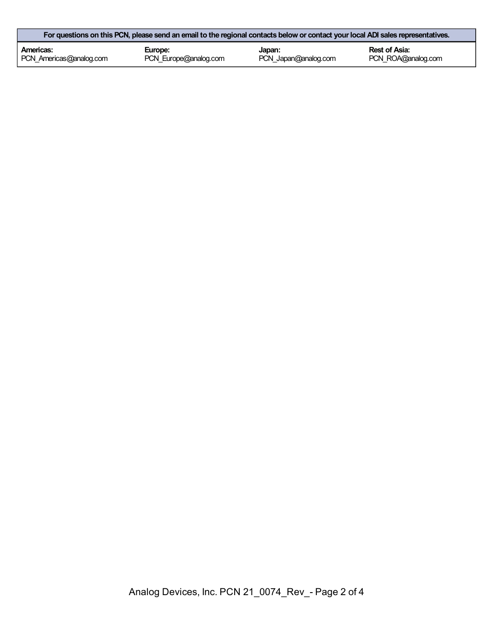| For questions on this PCN, please send an email to the regional contacts below or contact your local ADI sales representatives. |                       |                      |                    |  |  |
|---------------------------------------------------------------------------------------------------------------------------------|-----------------------|----------------------|--------------------|--|--|
| Americas:                                                                                                                       | Europe:               | Japan:               | Rest of Asia:      |  |  |
| PCN Americas@analog.com                                                                                                         | PCN_Europe@analog.com | PCN Japan@analog.com | PCN ROA@analog.com |  |  |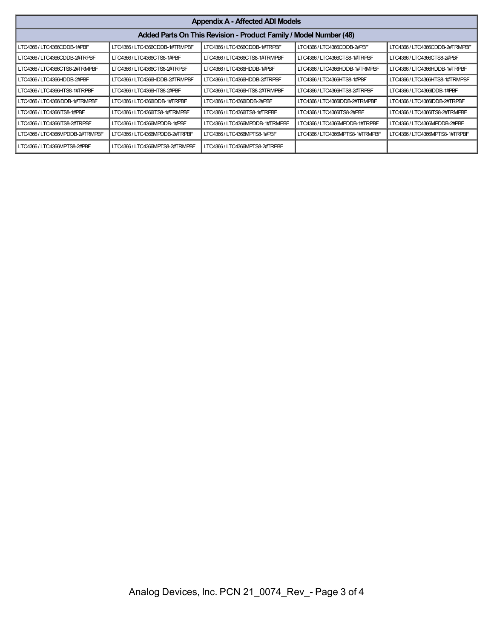| <b>Appendix A - Affected ADI Models</b>                           |                                |                                 |                                 |                                |  |  |
|-------------------------------------------------------------------|--------------------------------|---------------------------------|---------------------------------|--------------------------------|--|--|
| Added Parts On This Revision - Product Family / Model Number (48) |                                |                                 |                                 |                                |  |  |
| LTC4366/LTC4366CDDB-1#PBF                                         | LTC4366 / LTC4366CDDB-1#TRMPBF | LTC4366 / LTC4366CDDB-1#TRPBF   | LTC4366 / LTC4366CDDB-2#PBF     | LTC4366 / LTC4366CDDB-2#TRMPBF |  |  |
| LTC4366/LTC4366CDDB-2#TRPBF                                       | LTC4366 / LTC4366CTS8-1#PBF    | LTC4366/LTC4366CTS8-1#TRMPBF    | LTC4366 / LTC4366CTS8-1#TRPBF   | LTC4366 / LTC4366CTS8-2#PBF    |  |  |
| LTC4366/LTC4366CTS8-2#TRMPBF                                      | LTC4366/LTC4366CTS8-2#TRPBF    | LTC4366/LTC4366HDDB-1#PBF       | LTC4366 / LTC4366HDDB-1#TRMPBF  | LTC4366/LTC4366HDDB-1#TRPBF    |  |  |
| LTC4366/LTC4366HDDB-2#PBF                                         | LTC4366/LTC4366HDDB-2#TRMPBF   | LTC4366/LTC4366HDDB-2#TRPBF     | LTC4366/LTC4366HTS8-1#PBF       | LTC4366/LTC4366HTS8-1#TRMPBF   |  |  |
| LTC4366/LTC4366HTS8-1#TRPBF                                       | LTC4366/LTC4366HTS8-2#PBF      | LTC4366/LTC4366HTS8-2#TRMPBF    | LTC4366/LTC4366HTS8-2#TRPBF     | LTC4366/LTC4366IDDB-1#PBF      |  |  |
| LTC4366/LTC4366IDDB-1#TRMPBF                                      | LTC4366/LTC4366IDDB-1#TRPBF    | LTC4366/LTC4366IDDB-2#PBF       | LTC4366/LTC4366IDDB-2#TRMPBF    | LTC4366/LTC4366IDDB-2#TRPBF    |  |  |
| LTC4366 / LTC4366 TS8-1#PBF                                       | LTC4366 / LTC4366ITS8-1#TRMPBF | LTC4366 / LTC4366 TS8-1#TRPBF   | LTC4366 / LTC4366 TS8-2#PBF     | LTC4366/LTC4366ITS8-2#TRMPBF   |  |  |
| LTC4366/LTC4366ITS8-2#TRPBF                                       | LTC4366 / LTC4366MPDDB-1#PBF   | LTC4366 / LTC4366MPDDB-1#TRMPBF | LTC4366 / LTC4366MPDDB-1#TRPBF  | LTC4366/LTC4366MPDDB-2#PBF     |  |  |
| LTC4366/LTC4366MPDDB-2#TRMPBF                                     | LTC4366 / LTC4366MPDDB-2#TRPBF | LTC4366/LTC4366MPTS8-1#PBF      | LTC4366 / LTC4366MPTS8-1#TRMPBF | LTC4366 / LTC4366MPTS8-1#TRPBF |  |  |
| LTC4366/LTC4366MPTS8-2#PBF                                        | LTC4366/LTC4366MPTS8-2#TRMPBF  | LTC4366/LTC4366MPTS8-2#TRPBF    |                                 |                                |  |  |